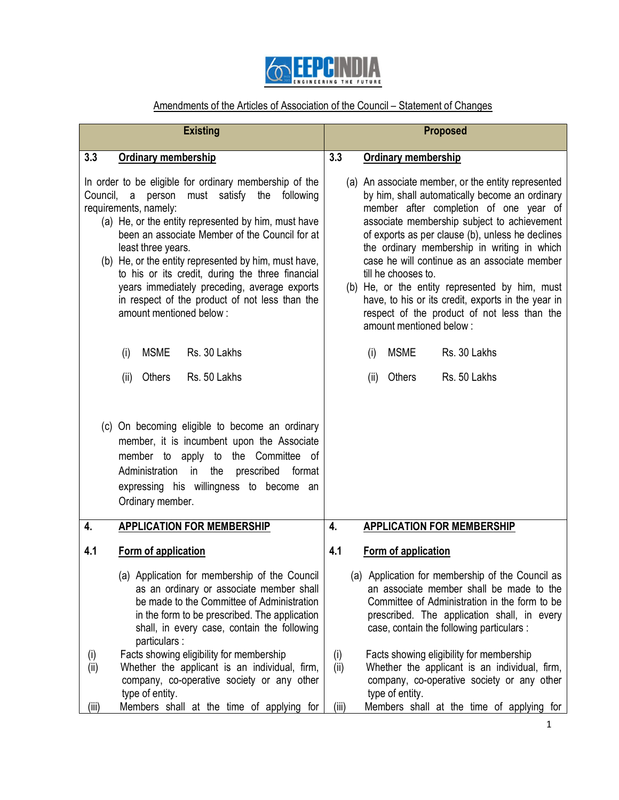

## Amendments of the Articles of Association of the Council – Statement of Changes

| <b>Existing</b>                                                                                                                                                                                                                                                                                                                                                                                                                                                                                                  | <b>Proposed</b>                                                                                                                                                                                                                                                                                                                                                                                                                                                                                                                                           |
|------------------------------------------------------------------------------------------------------------------------------------------------------------------------------------------------------------------------------------------------------------------------------------------------------------------------------------------------------------------------------------------------------------------------------------------------------------------------------------------------------------------|-----------------------------------------------------------------------------------------------------------------------------------------------------------------------------------------------------------------------------------------------------------------------------------------------------------------------------------------------------------------------------------------------------------------------------------------------------------------------------------------------------------------------------------------------------------|
| 3.3                                                                                                                                                                                                                                                                                                                                                                                                                                                                                                              | 3.3                                                                                                                                                                                                                                                                                                                                                                                                                                                                                                                                                       |
| <b>Ordinary membership</b>                                                                                                                                                                                                                                                                                                                                                                                                                                                                                       | <b>Ordinary membership</b>                                                                                                                                                                                                                                                                                                                                                                                                                                                                                                                                |
| In order to be eligible for ordinary membership of the<br>must satisfy the<br>Council, a<br>person<br>following<br>requirements, namely:<br>(a) He, or the entity represented by him, must have<br>been an associate Member of the Council for at<br>least three years.<br>(b) He, or the entity represented by him, must have,<br>to his or its credit, during the three financial<br>years immediately preceding, average exports<br>in respect of the product of not less than the<br>amount mentioned below: | (a) An associate member, or the entity represented<br>by him, shall automatically become an ordinary<br>member after completion of one year of<br>associate membership subject to achievement<br>of exports as per clause (b), unless he declines<br>the ordinary membership in writing in which<br>case he will continue as an associate member<br>till he chooses to.<br>(b) He, or the entity represented by him, must<br>have, to his or its credit, exports in the year in<br>respect of the product of not less than the<br>amount mentioned below: |
| <b>MSME</b>                                                                                                                                                                                                                                                                                                                                                                                                                                                                                                      | <b>MSME</b>                                                                                                                                                                                                                                                                                                                                                                                                                                                                                                                                               |
| Rs. 30 Lakhs                                                                                                                                                                                                                                                                                                                                                                                                                                                                                                     | Rs. 30 Lakhs                                                                                                                                                                                                                                                                                                                                                                                                                                                                                                                                              |
| (i)                                                                                                                                                                                                                                                                                                                                                                                                                                                                                                              | (i)                                                                                                                                                                                                                                                                                                                                                                                                                                                                                                                                                       |
| Rs. 50 Lakhs                                                                                                                                                                                                                                                                                                                                                                                                                                                                                                     | Rs. 50 Lakhs                                                                                                                                                                                                                                                                                                                                                                                                                                                                                                                                              |
| (ii)                                                                                                                                                                                                                                                                                                                                                                                                                                                                                                             | Others                                                                                                                                                                                                                                                                                                                                                                                                                                                                                                                                                    |
| Others                                                                                                                                                                                                                                                                                                                                                                                                                                                                                                           | (ii)                                                                                                                                                                                                                                                                                                                                                                                                                                                                                                                                                      |
| (c) On becoming eligible to become an ordinary<br>member, it is incumbent upon the Associate<br>Committee<br>member<br>to apply<br>to<br>the<br>_of<br>the<br>prescribed<br>Administration<br>in<br>format<br>expressing his willingness to become<br>an<br>Ordinary member.                                                                                                                                                                                                                                     |                                                                                                                                                                                                                                                                                                                                                                                                                                                                                                                                                           |
| <b>APPLICATION FOR MEMBERSHIP</b>                                                                                                                                                                                                                                                                                                                                                                                                                                                                                | <b>APPLICATION FOR MEMBERSHIP</b>                                                                                                                                                                                                                                                                                                                                                                                                                                                                                                                         |
| 4.                                                                                                                                                                                                                                                                                                                                                                                                                                                                                                               | 4.                                                                                                                                                                                                                                                                                                                                                                                                                                                                                                                                                        |
| 4.1                                                                                                                                                                                                                                                                                                                                                                                                                                                                                                              | 4.1                                                                                                                                                                                                                                                                                                                                                                                                                                                                                                                                                       |
| Form of application                                                                                                                                                                                                                                                                                                                                                                                                                                                                                              | Form of application                                                                                                                                                                                                                                                                                                                                                                                                                                                                                                                                       |
| (a) Application for membership of the Council<br>as an ordinary or associate member shall<br>be made to the Committee of Administration<br>in the form to be prescribed. The application<br>shall, in every case, contain the following<br>particulars:                                                                                                                                                                                                                                                          | (a) Application for membership of the Council as<br>an associate member shall be made to the<br>Committee of Administration in the form to be<br>prescribed. The application shall, in every<br>case, contain the following particulars :                                                                                                                                                                                                                                                                                                                 |
| Facts showing eligibility for membership                                                                                                                                                                                                                                                                                                                                                                                                                                                                         | Facts showing eligibility for membership                                                                                                                                                                                                                                                                                                                                                                                                                                                                                                                  |
| (i)                                                                                                                                                                                                                                                                                                                                                                                                                                                                                                              | (i)                                                                                                                                                                                                                                                                                                                                                                                                                                                                                                                                                       |
| Whether the applicant is an individual, firm,                                                                                                                                                                                                                                                                                                                                                                                                                                                                    | Whether the applicant is an individual, firm,                                                                                                                                                                                                                                                                                                                                                                                                                                                                                                             |
| (ii)                                                                                                                                                                                                                                                                                                                                                                                                                                                                                                             | (ii)                                                                                                                                                                                                                                                                                                                                                                                                                                                                                                                                                      |
| company, co-operative society or any other                                                                                                                                                                                                                                                                                                                                                                                                                                                                       | company, co-operative society or any other                                                                                                                                                                                                                                                                                                                                                                                                                                                                                                                |
| type of entity.                                                                                                                                                                                                                                                                                                                                                                                                                                                                                                  | type of entity.                                                                                                                                                                                                                                                                                                                                                                                                                                                                                                                                           |
| Members shall at the time of applying for                                                                                                                                                                                                                                                                                                                                                                                                                                                                        | Members shall at the time of applying for                                                                                                                                                                                                                                                                                                                                                                                                                                                                                                                 |
| (iii)                                                                                                                                                                                                                                                                                                                                                                                                                                                                                                            | (iii)                                                                                                                                                                                                                                                                                                                                                                                                                                                                                                                                                     |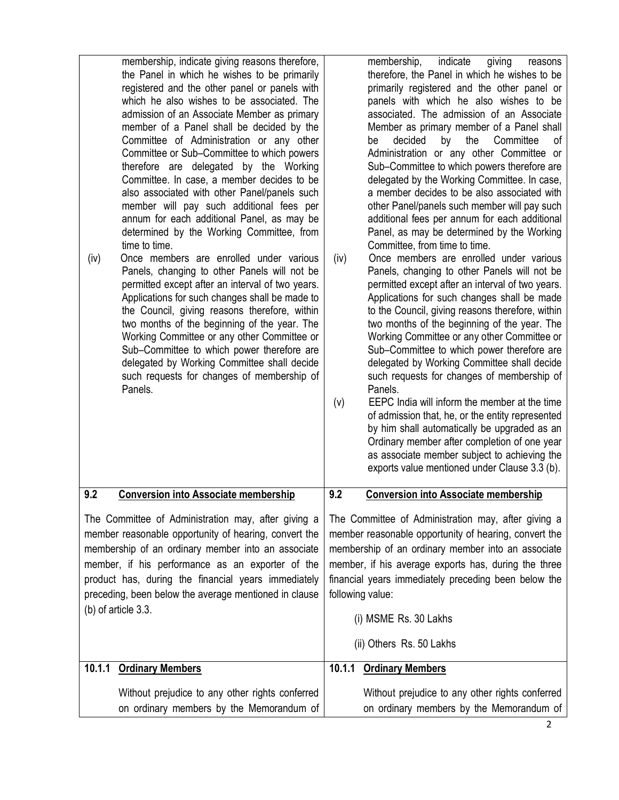| membership, indicate giving reasons therefore,<br>the Panel in which he wishes to be primarily<br>registered and the other panel or panels with<br>which he also wishes to be associated. The<br>admission of an Associate Member as primary<br>member of a Panel shall be decided by the<br>Committee of Administration or any other<br>Committee or Sub-Committee to which powers<br>therefore are delegated by the Working<br>Committee. In case, a member decides to be<br>also associated with other Panel/panels such<br>member will pay such additional fees per<br>annum for each additional Panel, as may be<br>determined by the Working Committee, from<br>time to time.<br>Once members are enrolled under various<br>(iv)<br>Panels, changing to other Panels will not be<br>permitted except after an interval of two years.<br>Applications for such changes shall be made to<br>the Council, giving reasons therefore, within<br>two months of the beginning of the year. The<br>Working Committee or any other Committee or<br>Sub-Committee to which power therefore are<br>delegated by Working Committee shall decide<br>such requests for changes of membership of<br>Panels. | indicate<br>membership,<br>giving<br>reasons<br>therefore, the Panel in which he wishes to be<br>primarily registered and the other panel or<br>panels with which he also wishes to be<br>associated. The admission of an Associate<br>Member as primary member of a Panel shall<br>decided<br>the<br>by<br>Committee<br>οf<br>be<br>Administration or any other Committee or<br>Sub-Committee to which powers therefore are<br>delegated by the Working Committee. In case,<br>a member decides to be also associated with<br>other Panel/panels such member will pay such<br>additional fees per annum for each additional<br>Panel, as may be determined by the Working<br>Committee, from time to time.<br>Once members are enrolled under various<br>(iv)<br>Panels, changing to other Panels will not be<br>permitted except after an interval of two years.<br>Applications for such changes shall be made<br>to the Council, giving reasons therefore, within<br>two months of the beginning of the year. The<br>Working Committee or any other Committee or<br>Sub-Committee to which power therefore are<br>delegated by Working Committee shall decide<br>such requests for changes of membership of<br>Panels.<br>EEPC India will inform the member at the time<br>(v)<br>of admission that, he, or the entity represented<br>by him shall automatically be upgraded as an<br>Ordinary member after completion of one year<br>as associate member subject to achieving the<br>exports value mentioned under Clause 3.3 (b). |
|----------------------------------------------------------------------------------------------------------------------------------------------------------------------------------------------------------------------------------------------------------------------------------------------------------------------------------------------------------------------------------------------------------------------------------------------------------------------------------------------------------------------------------------------------------------------------------------------------------------------------------------------------------------------------------------------------------------------------------------------------------------------------------------------------------------------------------------------------------------------------------------------------------------------------------------------------------------------------------------------------------------------------------------------------------------------------------------------------------------------------------------------------------------------------------------------------|-----------------------------------------------------------------------------------------------------------------------------------------------------------------------------------------------------------------------------------------------------------------------------------------------------------------------------------------------------------------------------------------------------------------------------------------------------------------------------------------------------------------------------------------------------------------------------------------------------------------------------------------------------------------------------------------------------------------------------------------------------------------------------------------------------------------------------------------------------------------------------------------------------------------------------------------------------------------------------------------------------------------------------------------------------------------------------------------------------------------------------------------------------------------------------------------------------------------------------------------------------------------------------------------------------------------------------------------------------------------------------------------------------------------------------------------------------------------------------------------------------------------------------------------|
| 9.2                                                                                                                                                                                                                                                                                                                                                                                                                                                                                                                                                                                                                                                                                                                                                                                                                                                                                                                                                                                                                                                                                                                                                                                                | 9.2                                                                                                                                                                                                                                                                                                                                                                                                                                                                                                                                                                                                                                                                                                                                                                                                                                                                                                                                                                                                                                                                                                                                                                                                                                                                                                                                                                                                                                                                                                                                     |
| <b>Conversion into Associate membership</b>                                                                                                                                                                                                                                                                                                                                                                                                                                                                                                                                                                                                                                                                                                                                                                                                                                                                                                                                                                                                                                                                                                                                                        | <b>Conversion into Associate membership</b>                                                                                                                                                                                                                                                                                                                                                                                                                                                                                                                                                                                                                                                                                                                                                                                                                                                                                                                                                                                                                                                                                                                                                                                                                                                                                                                                                                                                                                                                                             |
| The Committee of Administration may, after giving a<br>member reasonable opportunity of hearing, convert the<br>membership of an ordinary member into an associate<br>member, if his performance as an exporter of the<br>product has, during the financial years immediately<br>preceding, been below the average mentioned in clause<br>(b) of article 3.3.                                                                                                                                                                                                                                                                                                                                                                                                                                                                                                                                                                                                                                                                                                                                                                                                                                      | The Committee of Administration may, after giving a<br>member reasonable opportunity of hearing, convert the<br>membership of an ordinary member into an associate<br>member, if his average exports has, during the three<br>financial years immediately preceding been below the<br>following value:<br>(i) MSME Rs. 30 Lakhs<br>(ii) Others Rs. 50 Lakhs                                                                                                                                                                                                                                                                                                                                                                                                                                                                                                                                                                                                                                                                                                                                                                                                                                                                                                                                                                                                                                                                                                                                                                             |
| 10.1.1                                                                                                                                                                                                                                                                                                                                                                                                                                                                                                                                                                                                                                                                                                                                                                                                                                                                                                                                                                                                                                                                                                                                                                                             | 10.1.1                                                                                                                                                                                                                                                                                                                                                                                                                                                                                                                                                                                                                                                                                                                                                                                                                                                                                                                                                                                                                                                                                                                                                                                                                                                                                                                                                                                                                                                                                                                                  |
| <b>Ordinary Members</b>                                                                                                                                                                                                                                                                                                                                                                                                                                                                                                                                                                                                                                                                                                                                                                                                                                                                                                                                                                                                                                                                                                                                                                            | <b>Ordinary Members</b>                                                                                                                                                                                                                                                                                                                                                                                                                                                                                                                                                                                                                                                                                                                                                                                                                                                                                                                                                                                                                                                                                                                                                                                                                                                                                                                                                                                                                                                                                                                 |
| Without prejudice to any other rights conferred                                                                                                                                                                                                                                                                                                                                                                                                                                                                                                                                                                                                                                                                                                                                                                                                                                                                                                                                                                                                                                                                                                                                                    | Without prejudice to any other rights conferred                                                                                                                                                                                                                                                                                                                                                                                                                                                                                                                                                                                                                                                                                                                                                                                                                                                                                                                                                                                                                                                                                                                                                                                                                                                                                                                                                                                                                                                                                         |
| on ordinary members by the Memorandum of                                                                                                                                                                                                                                                                                                                                                                                                                                                                                                                                                                                                                                                                                                                                                                                                                                                                                                                                                                                                                                                                                                                                                           | on ordinary members by the Memorandum of                                                                                                                                                                                                                                                                                                                                                                                                                                                                                                                                                                                                                                                                                                                                                                                                                                                                                                                                                                                                                                                                                                                                                                                                                                                                                                                                                                                                                                                                                                |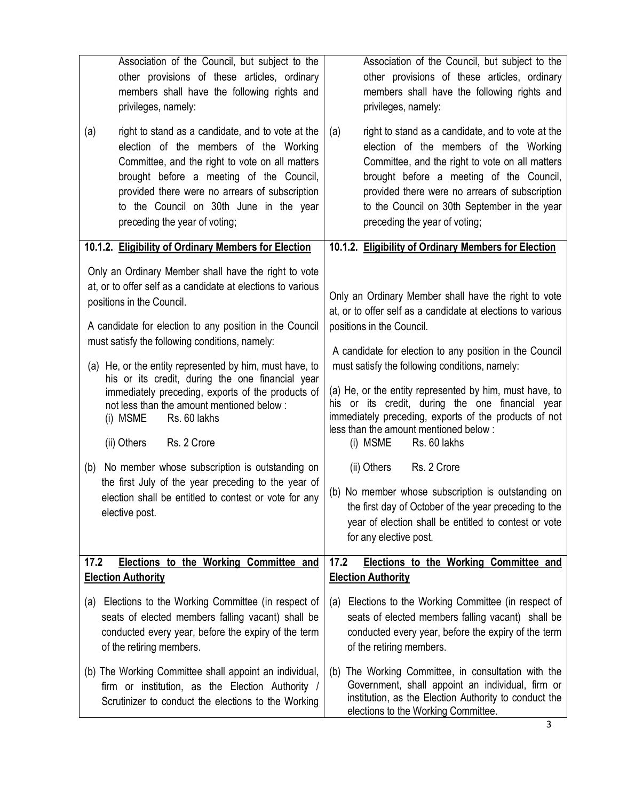| Association of the Council, but subject to the                                                                                                                                                                                                                                                                                                                                                                                                                                                                                                                                                                                                                                                                                      | Association of the Council, but subject to the                                                                                                                                                                                                                                                                                                                                                                                                                                                                                                                                                                                                                                                                                             |  |
|-------------------------------------------------------------------------------------------------------------------------------------------------------------------------------------------------------------------------------------------------------------------------------------------------------------------------------------------------------------------------------------------------------------------------------------------------------------------------------------------------------------------------------------------------------------------------------------------------------------------------------------------------------------------------------------------------------------------------------------|--------------------------------------------------------------------------------------------------------------------------------------------------------------------------------------------------------------------------------------------------------------------------------------------------------------------------------------------------------------------------------------------------------------------------------------------------------------------------------------------------------------------------------------------------------------------------------------------------------------------------------------------------------------------------------------------------------------------------------------------|--|
| other provisions of these articles, ordinary                                                                                                                                                                                                                                                                                                                                                                                                                                                                                                                                                                                                                                                                                        | other provisions of these articles, ordinary                                                                                                                                                                                                                                                                                                                                                                                                                                                                                                                                                                                                                                                                                               |  |
| members shall have the following rights and                                                                                                                                                                                                                                                                                                                                                                                                                                                                                                                                                                                                                                                                                         | members shall have the following rights and                                                                                                                                                                                                                                                                                                                                                                                                                                                                                                                                                                                                                                                                                                |  |
| privileges, namely:                                                                                                                                                                                                                                                                                                                                                                                                                                                                                                                                                                                                                                                                                                                 | privileges, namely:                                                                                                                                                                                                                                                                                                                                                                                                                                                                                                                                                                                                                                                                                                                        |  |
| right to stand as a candidate, and to vote at the                                                                                                                                                                                                                                                                                                                                                                                                                                                                                                                                                                                                                                                                                   | right to stand as a candidate, and to vote at the                                                                                                                                                                                                                                                                                                                                                                                                                                                                                                                                                                                                                                                                                          |  |
| (a)                                                                                                                                                                                                                                                                                                                                                                                                                                                                                                                                                                                                                                                                                                                                 | (a)                                                                                                                                                                                                                                                                                                                                                                                                                                                                                                                                                                                                                                                                                                                                        |  |
| election of the members of the Working                                                                                                                                                                                                                                                                                                                                                                                                                                                                                                                                                                                                                                                                                              | election of the members of the Working                                                                                                                                                                                                                                                                                                                                                                                                                                                                                                                                                                                                                                                                                                     |  |
| Committee, and the right to vote on all matters                                                                                                                                                                                                                                                                                                                                                                                                                                                                                                                                                                                                                                                                                     | Committee, and the right to vote on all matters                                                                                                                                                                                                                                                                                                                                                                                                                                                                                                                                                                                                                                                                                            |  |
| brought before a meeting of the Council,                                                                                                                                                                                                                                                                                                                                                                                                                                                                                                                                                                                                                                                                                            | brought before a meeting of the Council,                                                                                                                                                                                                                                                                                                                                                                                                                                                                                                                                                                                                                                                                                                   |  |
| provided there were no arrears of subscription                                                                                                                                                                                                                                                                                                                                                                                                                                                                                                                                                                                                                                                                                      | provided there were no arrears of subscription                                                                                                                                                                                                                                                                                                                                                                                                                                                                                                                                                                                                                                                                                             |  |
| to the Council on 30th June in the year                                                                                                                                                                                                                                                                                                                                                                                                                                                                                                                                                                                                                                                                                             | to the Council on 30th September in the year                                                                                                                                                                                                                                                                                                                                                                                                                                                                                                                                                                                                                                                                                               |  |
| preceding the year of voting;                                                                                                                                                                                                                                                                                                                                                                                                                                                                                                                                                                                                                                                                                                       | preceding the year of voting;                                                                                                                                                                                                                                                                                                                                                                                                                                                                                                                                                                                                                                                                                                              |  |
| 10.1.2. Eligibility of Ordinary Members for Election                                                                                                                                                                                                                                                                                                                                                                                                                                                                                                                                                                                                                                                                                | 10.1.2. Eligibility of Ordinary Members for Election                                                                                                                                                                                                                                                                                                                                                                                                                                                                                                                                                                                                                                                                                       |  |
| Only an Ordinary Member shall have the right to vote<br>at, or to offer self as a candidate at elections to various<br>positions in the Council.<br>A candidate for election to any position in the Council<br>must satisfy the following conditions, namely:<br>(a) He, or the entity represented by him, must have, to<br>his or its credit, during the one financial year<br>immediately preceding, exports of the products of<br>not less than the amount mentioned below:<br>Rs. 60 lakhs<br>(i) MSME<br>(ii) Others<br>Rs. 2 Crore<br>No member whose subscription is outstanding on<br>(b)<br>the first July of the year preceding to the year of<br>election shall be entitled to contest or vote for any<br>elective post. | Only an Ordinary Member shall have the right to vote<br>at, or to offer self as a candidate at elections to various<br>positions in the Council.<br>A candidate for election to any position in the Council<br>must satisfy the following conditions, namely:<br>(a) He, or the entity represented by him, must have, to<br>his or its credit, during the one financial year<br>immediately preceding, exports of the products of not<br>less than the amount mentioned below:<br>(i) MSME<br>Rs. 60 lakhs<br>Rs. 2 Crore<br>(ii) Others<br>(b) No member whose subscription is outstanding on<br>the first day of October of the year preceding to the<br>year of election shall be entitled to contest or vote<br>for any elective post. |  |
| 17.2                                                                                                                                                                                                                                                                                                                                                                                                                                                                                                                                                                                                                                                                                                                                | 17.2                                                                                                                                                                                                                                                                                                                                                                                                                                                                                                                                                                                                                                                                                                                                       |  |
| <b>Elections to the Working Committee and</b>                                                                                                                                                                                                                                                                                                                                                                                                                                                                                                                                                                                                                                                                                       | Elections to the Working Committee and                                                                                                                                                                                                                                                                                                                                                                                                                                                                                                                                                                                                                                                                                                     |  |
| <b>Election Authority</b>                                                                                                                                                                                                                                                                                                                                                                                                                                                                                                                                                                                                                                                                                                           | <b>Election Authority</b>                                                                                                                                                                                                                                                                                                                                                                                                                                                                                                                                                                                                                                                                                                                  |  |
| Elections to the Working Committee (in respect of                                                                                                                                                                                                                                                                                                                                                                                                                                                                                                                                                                                                                                                                                   | Elections to the Working Committee (in respect of                                                                                                                                                                                                                                                                                                                                                                                                                                                                                                                                                                                                                                                                                          |  |
| (a)                                                                                                                                                                                                                                                                                                                                                                                                                                                                                                                                                                                                                                                                                                                                 | (a)                                                                                                                                                                                                                                                                                                                                                                                                                                                                                                                                                                                                                                                                                                                                        |  |
| seats of elected members falling vacant) shall be                                                                                                                                                                                                                                                                                                                                                                                                                                                                                                                                                                                                                                                                                   | seats of elected members falling vacant) shall be                                                                                                                                                                                                                                                                                                                                                                                                                                                                                                                                                                                                                                                                                          |  |
| conducted every year, before the expiry of the term                                                                                                                                                                                                                                                                                                                                                                                                                                                                                                                                                                                                                                                                                 | conducted every year, before the expiry of the term                                                                                                                                                                                                                                                                                                                                                                                                                                                                                                                                                                                                                                                                                        |  |
| of the retiring members.                                                                                                                                                                                                                                                                                                                                                                                                                                                                                                                                                                                                                                                                                                            | of the retiring members.                                                                                                                                                                                                                                                                                                                                                                                                                                                                                                                                                                                                                                                                                                                   |  |
| (b) The Working Committee shall appoint an individual,<br>firm or institution, as the Election Authority /<br>Scrutinizer to conduct the elections to the Working                                                                                                                                                                                                                                                                                                                                                                                                                                                                                                                                                                   | The Working Committee, in consultation with the<br>(b)<br>Government, shall appoint an individual, firm or<br>institution, as the Election Authority to conduct the<br>elections to the Working Committee.                                                                                                                                                                                                                                                                                                                                                                                                                                                                                                                                 |  |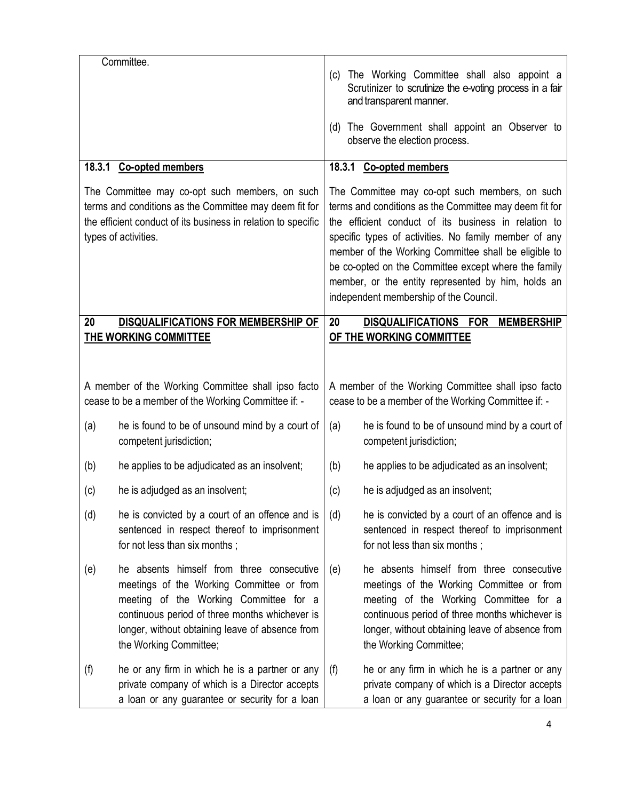|                                                                                                                                                                                                   | Committee.                                                                                                                                                                                                                                                      |                                                                                                                                                                                                                                                                                                                                                                                                                                           |                                                                                                                                                                                                                                                                 |
|---------------------------------------------------------------------------------------------------------------------------------------------------------------------------------------------------|-----------------------------------------------------------------------------------------------------------------------------------------------------------------------------------------------------------------------------------------------------------------|-------------------------------------------------------------------------------------------------------------------------------------------------------------------------------------------------------------------------------------------------------------------------------------------------------------------------------------------------------------------------------------------------------------------------------------------|-----------------------------------------------------------------------------------------------------------------------------------------------------------------------------------------------------------------------------------------------------------------|
|                                                                                                                                                                                                   |                                                                                                                                                                                                                                                                 | (c)                                                                                                                                                                                                                                                                                                                                                                                                                                       | The Working Committee shall also appoint a<br>Scrutinizer to scrutinize the e-voting process in a fair<br>and transparent manner.                                                                                                                               |
|                                                                                                                                                                                                   |                                                                                                                                                                                                                                                                 | (d)                                                                                                                                                                                                                                                                                                                                                                                                                                       | The Government shall appoint an Observer to<br>observe the election process.                                                                                                                                                                                    |
|                                                                                                                                                                                                   | 18.3.1 Co-opted members                                                                                                                                                                                                                                         | 18.3.1 Co-opted members                                                                                                                                                                                                                                                                                                                                                                                                                   |                                                                                                                                                                                                                                                                 |
| The Committee may co-opt such members, on such<br>terms and conditions as the Committee may deem fit for<br>the efficient conduct of its business in relation to specific<br>types of activities. |                                                                                                                                                                                                                                                                 | The Committee may co-opt such members, on such<br>terms and conditions as the Committee may deem fit for<br>the efficient conduct of its business in relation to<br>specific types of activities. No family member of any<br>member of the Working Committee shall be eligible to<br>be co-opted on the Committee except where the family<br>member, or the entity represented by him, holds an<br>independent membership of the Council. |                                                                                                                                                                                                                                                                 |
| 20<br><b>DISQUALIFICATIONS FOR MEMBERSHIP OF</b>                                                                                                                                                  |                                                                                                                                                                                                                                                                 | <b>DISQUALIFICATIONS FOR</b><br>20<br><b>MEMBERSHIP</b>                                                                                                                                                                                                                                                                                                                                                                                   |                                                                                                                                                                                                                                                                 |
| THE WORKING COMMITTEE<br>A member of the Working Committee shall ipso facto                                                                                                                       |                                                                                                                                                                                                                                                                 |                                                                                                                                                                                                                                                                                                                                                                                                                                           | OF THE WORKING COMMITTEE<br>A member of the Working Committee shall ipso facto                                                                                                                                                                                  |
| cease to be a member of the Working Committee if: -                                                                                                                                               |                                                                                                                                                                                                                                                                 |                                                                                                                                                                                                                                                                                                                                                                                                                                           | cease to be a member of the Working Committee if: -                                                                                                                                                                                                             |
| (a)                                                                                                                                                                                               | he is found to be of unsound mind by a court of<br>competent jurisdiction;                                                                                                                                                                                      | (a)                                                                                                                                                                                                                                                                                                                                                                                                                                       | he is found to be of unsound mind by a court of<br>competent jurisdiction;                                                                                                                                                                                      |
| (b)                                                                                                                                                                                               | he applies to be adjudicated as an insolvent;                                                                                                                                                                                                                   | (b)                                                                                                                                                                                                                                                                                                                                                                                                                                       | he applies to be adjudicated as an insolvent;                                                                                                                                                                                                                   |
| (c)                                                                                                                                                                                               | he is adjudged as an insolvent;                                                                                                                                                                                                                                 | (c)                                                                                                                                                                                                                                                                                                                                                                                                                                       | he is adjudged as an insolvent;                                                                                                                                                                                                                                 |
| (d)                                                                                                                                                                                               | he is convicted by a court of an offence and is<br>sentenced in respect thereof to imprisonment<br>for not less than six months;                                                                                                                                | (d)                                                                                                                                                                                                                                                                                                                                                                                                                                       | he is convicted by a court of an offence and is<br>sentenced in respect thereof to imprisonment<br>for not less than six months;                                                                                                                                |
| (e)                                                                                                                                                                                               | he absents himself from three consecutive<br>meetings of the Working Committee or from<br>meeting of the Working Committee for a<br>continuous period of three months whichever is<br>longer, without obtaining leave of absence from<br>the Working Committee; | (e)                                                                                                                                                                                                                                                                                                                                                                                                                                       | he absents himself from three consecutive<br>meetings of the Working Committee or from<br>meeting of the Working Committee for a<br>continuous period of three months whichever is<br>longer, without obtaining leave of absence from<br>the Working Committee; |
| (f)                                                                                                                                                                                               | he or any firm in which he is a partner or any<br>private company of which is a Director accepts<br>a loan or any guarantee or security for a loan                                                                                                              | (f)                                                                                                                                                                                                                                                                                                                                                                                                                                       | he or any firm in which he is a partner or any<br>private company of which is a Director accepts<br>a loan or any guarantee or security for a loan                                                                                                              |